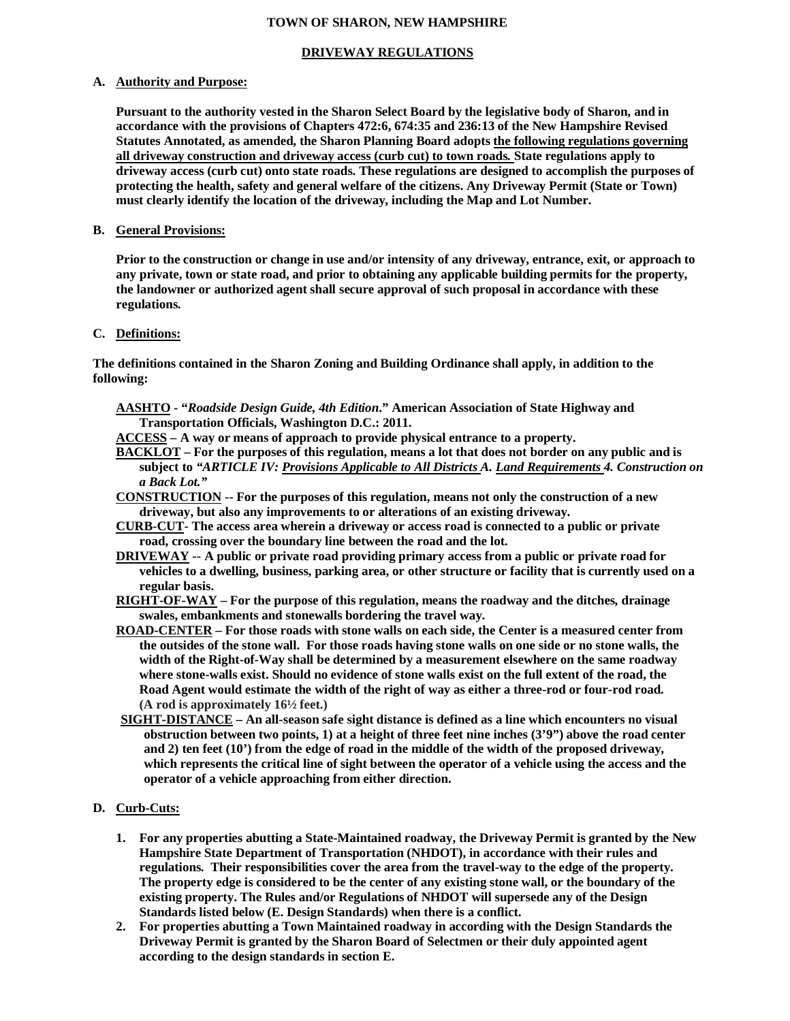### **TOWN OF SHARON, NEW HAMPSHIRE**

### **DRIVEWAY REGULATIONS**

#### **A. Authority and Purpose:**

**Pursuant to the authority vested in the Sharon Select Board by the legislative body of Sharon, and in accordance with the provisions of Chapters 472:6, 674:35 and 236:13 of the New Hampshire Revised Statutes Annotated, as amended, the Sharon Planning Board adopts the following regulations governing all driveway construction and driveway access (curb cut) to town roads. State regulations apply to driveway access (curb cut) onto state roads. These regulations are designed to accomplish the purposes of protecting the health, safety and general welfare of the citizens. Any Driveway Permit (State or Town) must clearly identify the location of the driveway, including the Map and Lot Number.**

#### **B. General Provisions:**

**Prior to the construction or change in use and/or intensity of any driveway, entrance, exit, or approach to any private, town or state road, and prior to obtaining any applicable building permits for the property, the landowner or authorized agent shall secure approval of such proposal in accordance with these regulations.**

### **C. Definitions:**

**The definitions contained in the Sharon Zoning and Building Ordinance shall apply, in addition to the following:**

- **AASHTO "***Roadside Design Guide, 4th Edition***." American Association of State Highway and Transportation Officials, Washington D.C.: 2011.**
- **ACCESS A way or means of approach to provide physical entrance to a property.**
- **BACKLOT For the purposes of this regulation, means a lot that does not border on any public and is subject to** *"ARTICLE IV: Provisions Applicable to All Districts A. Land Requirements 4. Construction on a Back Lot."*
- **CONSTRUCTION -- For the purposes of this regulation, means not only the construction of a new driveway, but also any improvements to or alterations of an existing driveway.**
- **CURB-CUT- The access area wherein a driveway or access road is connected to a public or private road, crossing over the boundary line between the road and the lot.**
- **DRIVEWAY -- A public or private road providing primary access from a public or private road for vehicles to a dwelling, business, parking area, or other structure or facility that is currently used on a regular basis.**
- **RIGHT-OF-WAY For the purpose of this regulation, means the roadway and the ditches, drainage swales, embankments and stonewalls bordering the travel way.**
- **ROAD-CENTER For those roads with stone walls on each side, the Center is a measured center from the outsides of the stone wall. For those roads having stone walls on one side or no stone walls, the width of the Right-of-Way shall be determined by a measurement elsewhere on the same roadway where stone-walls exist. Should no evidence of stone walls exist on the full extent of the road, the Road Agent would estimate the width of the right of way as either a three-rod or four-rod road. (A rod is approximately 16½ feet.)**
- **SIGHT-DISTANCE An all-season safe sight distance is defined as a line which encounters no visual obstruction between two points, 1) at a height of three feet nine inches (3'9") above the road center and 2) ten feet (10') from the edge of road in the middle of the width of the proposed driveway, which represents the critical line of sight between the operator of a vehicle using the access and the operator of a vehicle approaching from either direction.**

## **D. Curb-Cuts:**

- **1. For any properties abutting a State-Maintained roadway, the Driveway Permit is granted by the New Hampshire State Department of Transportation (NHDOT), in accordance with their rules and regulations. Their responsibilities cover the area from the travel-way to the edge of the property. The property edge is considered to be the center of any existing stone wall, or the boundary of the existing property. The Rules and/or Regulations of NHDOT will supersede any of the Design Standards listed below (E. Design Standards) when there is a conflict.**
- **2. For properties abutting a Town Maintained roadway in according with the Design Standards the Driveway Permit is granted by the Sharon Board of Selectmen or their duly appointed agent according to the design standards in section E.**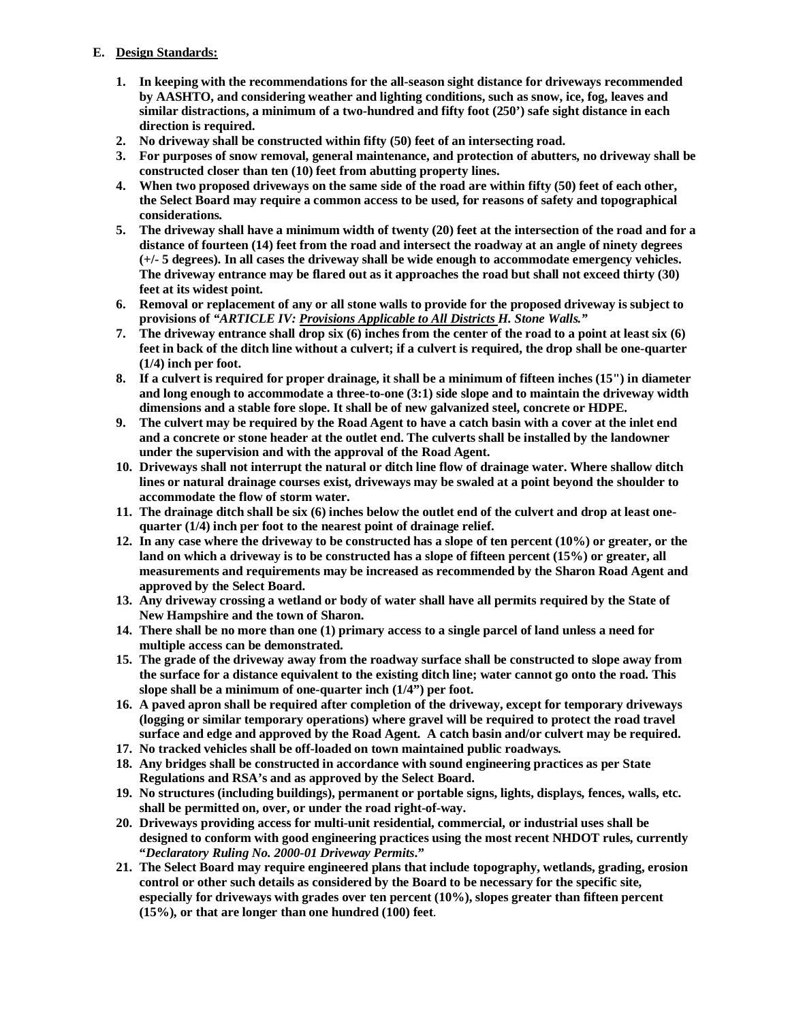# **E. Design Standards:**

- **1. In keeping with the recommendations for the all-season sight distance for driveways recommended by AASHTO, and considering weather and lighting conditions, such as snow, ice, fog, leaves and similar distractions, a minimum of a two-hundred and fifty foot (250') safe sight distance in each direction is required.**
- **2. No driveway shall be constructed within fifty (50) feet of an intersecting road.**
- **3. For purposes of snow removal, general maintenance, and protection of abutters, no driveway shall be constructed closer than ten (10) feet from abutting property lines.**
- **4. When two proposed driveways on the same side of the road are within fifty (50) feet of each other, the Select Board may require a common access to be used, for reasons of safety and topographical considerations.**
- **5. The driveway shall have a minimum width of twenty (20) feet at the intersection of the road and for a distance of fourteen (14) feet from the road and intersect the roadway at an angle of ninety degrees (+/- 5 degrees). In all cases the driveway shall be wide enough to accommodate emergency vehicles. The driveway entrance may be flared out as it approaches the road but shall not exceed thirty (30) feet at its widest point.**
- **6. Removal or replacement of any or all stone walls to provide for the proposed driveway is subject to provisions of** *"ARTICLE IV: Provisions Applicable to All Districts H. Stone Walls."*
- **7. The driveway entrance shall drop six (6) inches from the center of the road to a point at least six (6) feet in back of the ditch line without a culvert; if a culvert is required, the drop shall be one-quarter (1/4) inch per foot.**
- **8. If a culvert is required for proper drainage, it shall be a minimum of fifteen inches (15") in diameter and long enough to accommodate a three-to-one (3:1) side slope and to maintain the driveway width dimensions and a stable fore slope. It shall be of new galvanized steel, concrete or HDPE.**
- **9. The culvert may be required by the Road Agent to have a catch basin with a cover at the inlet end and a concrete or stone header at the outlet end. The culverts shall be installed by the landowner under the supervision and with the approval of the Road Agent.**
- **10. Driveways shall not interrupt the natural or ditch line flow of drainage water. Where shallow ditch lines or natural drainage courses exist, driveways may be swaled at a point beyond the shoulder to accommodate the flow of storm water.**
- **11. The drainage ditch shall be six (6) inches below the outlet end of the culvert and drop at least onequarter (1/4) inch per foot to the nearest point of drainage relief.**
- **12. In any case where the driveway to be constructed has a slope of ten percent (10%) or greater, or the land on which a driveway is to be constructed has a slope of fifteen percent (15%) or greater, all measurements and requirements may be increased as recommended by the Sharon Road Agent and approved by the Select Board.**
- **13. Any driveway crossing a wetland or body of water shall have all permits required by the State of New Hampshire and the town of Sharon.**
- **14. There shall be no more than one (1) primary access to a single parcel of land unless a need for multiple access can be demonstrated.**
- **15. The grade of the driveway away from the roadway surface shall be constructed to slope away from the surface for a distance equivalent to the existing ditch line; water cannot go onto the road. This slope shall be a minimum of one-quarter inch (1/4") per foot.**
- **16. A paved apron shall be required after completion of the driveway, except for temporary driveways (logging or similar temporary operations) where gravel will be required to protect the road travel surface and edge and approved by the Road Agent. A catch basin and/or culvert may be required.**
- **17. No tracked vehicles shall be off-loaded on town maintained public roadways.**
- **18. Any bridges shall be constructed in accordance with sound engineering practices as per State Regulations and RSA's and as approved by the Select Board.**
- **19. No structures (including buildings), permanent or portable signs, lights, displays, fences, walls, etc. shall be permitted on, over, or under the road right-of-way.**
- **20. Driveways providing access for multi-unit residential, commercial, or industrial uses shall be designed to conform with good engineering practices using the most recent NHDOT rules, currently "***Declaratory Ruling No. 2000-01 Driveway Permits***."**
- **21. The Select Board may require engineered plans that include topography, wetlands, grading, erosion control or other such details as considered by the Board to be necessary for the specific site, especially for driveways with grades over ten percent (10%), slopes greater than fifteen percent (15%), or that are longer than one hundred (100) feet**.